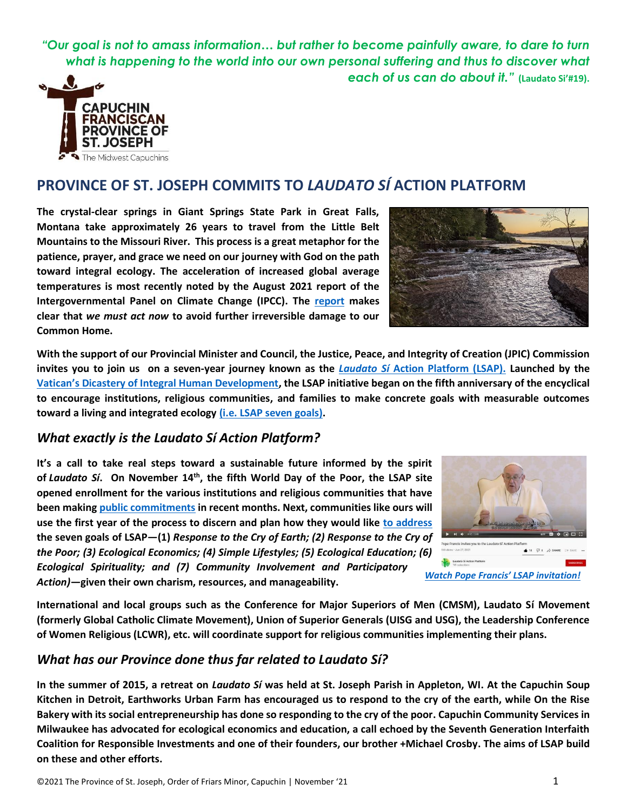*"Our goal is not to amass information… but rather to become painfully aware, to dare to turn what is happening to the world into our own personal suffering and thus to discover what each of us can do about it."* **(Laudato Si'#19).**



## **PROVINCE OF ST. JOSEPH COMMITS TO** *LAUDATO SÍ* **ACTION PLATFORM**

**The crystal-clear springs in Giant Springs State Park in Great Falls, Montana take approximately 26 years to travel from the Little Belt Mountains to the Missouri River. This process is a great metaphor for the patience, prayer, and grace we need on our journey with God on the path toward integral ecology. The acceleration of increased global average temperatures is most recently noted by the August 2021 report of the Intergovernmental Panel on Climate Change (IPCC). The [report](https://www.npr.org/2021/08/09/1025898341/major-report-warns-climate-change-is-accelerating-and-humans-must-cut-emissions-) makes clear that** *we must act now* **to avoid further irreversible damage to our Common Home.**



**With the support of our Provincial Minister and Council, the Justice, Peace, and Integrity of Creation (JPIC) Commission invites you to join us on a seven-year journey known as the** *Laudato Sí* **[Action Platform](https://laudatosiactionplatform.org/) (LSAP). Launched by the [Vatican's Dicastery of Integral Human Development](https://www.humandevelopment.va/en/taglist.cura-del-creato.html), the LSAP initiative began on the fifth anniversary of the encyclical to encourage institutions, religious communities, and families to make concrete goals with measurable outcomes toward a living and integrated ecology [\(i.e. LSAP seven goals\).](https://laudatosiactionplatform.org/laudato-si-goals/)**

#### *What exactly is the Laudato Sí Action Platform?*

**It's a call to take real steps toward a sustainable future informed by the spirit of** *Laudato Sí***. On November 14th , the fifth World Day of the Poor, the LSAP site opened enrollment for the various institutions and religious communities that have been making [public commitments](https://franciscanvoice.org/wp-content/uploads/2021/10/Laudato-Si-Action-Platform-1.pdf) in recent months. Next, communities like ours will use the first year of the process to discern and plan how they would like [to address](https://laudatosiactionplatform.org/app/uploads/2021/05/overview-of-laudato-si-goals-and-actions.pdf) the seven goals of LSAP—(1)** *Response to the Cry of Earth; (2) Response to the Cry of the Poor; (3) Ecological Economics; (4) Simple Lifestyles; (5) Ecological Education; (6) Ecological Spirituality; and (7) Community Involvement and Participatory Action)***—given their own charism, resources, and manageability.** 



**International and local groups such as the Conference for Major Superiors of Men (CMSM), Laudato Sí Movement (formerly Global Catholic Climate Movement), Union of Superior Generals (UISG and USG), the Leadership Conference of Women Religious (LCWR), etc. will coordinate support for religious communities implementing their plans.** 

### *What has our Province done thus far related to Laudato Sí?*

**In the summer of 2015, a retreat on** *Laudato Sí* **was held at St. Joseph Parish in Appleton, WI. At the Capuchin Soup Kitchen in Detroit, Earthworks Urban Farm has encouraged us to respond to the cry of the earth, while On the Rise Bakery with its social entrepreneurship has done so responding to the cry of the poor. Capuchin Community Services in Milwaukee has advocated for ecological economics and education, a call echoed by the Seventh Generation Interfaith Coalition for Responsible Investments and one of their founders, our brother +Michael Crosby. The aims of LSAP build on these and other efforts.**